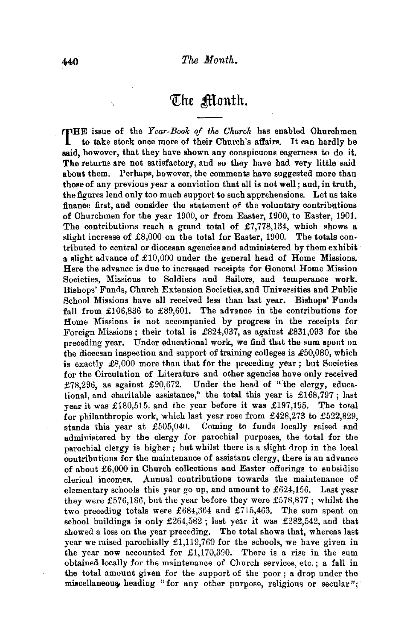## The Month.

THE issue of the *Year-Book of the Church* has enabled Churchmen to take stock once more of their Church's affairs. It can hardly be to take stock once more of their Church's affairs. It can hardly be said, however, that they have shown any conspicuous eagerness to do it. The returns are not satisfactory, and so they have had very little said about them. Perhaps, however, the comments have suggested more than those of any previous year a conviction that all is not well; and, in truth, the figures lend only too much support to such apprehensions. Let us take finance first, and consider the statement of the voluntary contributions of Churchmen for the year 1900, or from Easter, 1900, to Easter, 1901. The contributions reach a grand total of £7,778,134, which shows a slight increase of £8,000 on the total for Easter, 1900. The totals contributed to central or diocesan agencies and administered by them exhibit a slight advance of  $£10,000$  under the general head of Home Missions. Here the advance is due to increased receipts for General Home Mission Societies, Missions to Soldiers and Sailors, and temperance work. Bishops' Funds, Church Extension Societies, and Universities and Public School Missions have all received less than last year. Bishops' Funds fall from £106,836 to £89,601. The advance in the contributions for Home Missions is not accompanied by progress in the receipts for Foreign Missions; their total is £824,037, as against £831,093 for the preceding year. Under educational work, we find that the sum spent on the diocesan inspection and support of training colleges is  $\pounds 50,080$ , which is exactly  $\pounds8,000$  more than that for the preceding year; but Societies for the Circulation of Literature and other agencies have only received £78,296, as against £90,672. Under the head of "the clergy, educational, and charitable assistance," the total this year is  $£168,797$ ; last year it was £180,515, and the year before it was £197,195. The total for philanthropic work, which last year rose from £428,273 to £522,829, stands this year at £505,040. Coming to funds locally raised and administered by the clergy for parochial purposes, the total for the parochial clergy is higher ; but whilst there is a slight drop in the local contributions for the maintenance of assistant clergy, there is an advance of about £6,000 in Church collections and Easter offerings to subsidize clerical incomes. Annual contributions towards the maintenance of elementary schools this year go up, and amount to £624,156. Last year they were £576,186, but the year before they were £578,877; whilst the two preceding totals were £684,364 and £715,463. The sum spent on school buildings is only £264,582 ; last year it was £282,542, and that showed a loss on the year preceding. The total shows that, whereas last year we raised parochially £1,119,760 for the schools, we have given in the year now accounted for £1,170,390. There is a rise in the sum obtained locally for the maintenance of Church services, etc. ; a fall in the total amount given for the support of the poor; a drop under the miscellaneous heading "for any other purpose, religious or secular";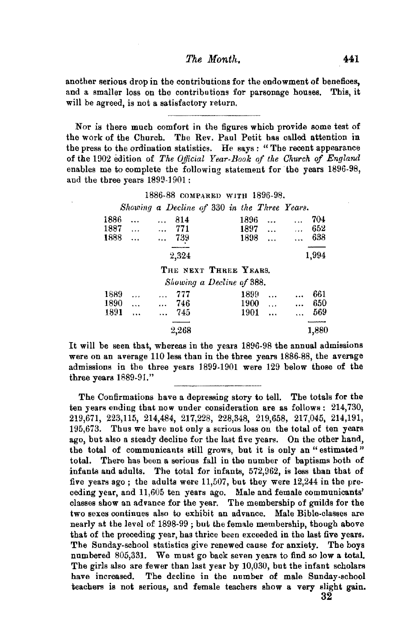## *The Month.* 441

another serious drop in the contributions for the endowment of benefices, and a smaller loss on the contributions for parsonage houses. This, it and a smaller loss on the contributions for parsonage houses. will be agreed, is not a satisfactory return.

Nor is there much comfort in the figures which provide some test of the work of the Church. The Rev. Paul Petit has called attention in the press to the ordination statistics. He says : " The recent appearance of the 1902 edition of *The Official Year-Book of the Church of England* enables me to complete the following statement for the years 1896-98, and the three years 1899-1901:

## 1886-88 COMPARED WITH 1896-98.

Showing a Decline of 330 in the Three Years.

| 1886 |           | 814                         | 1896             | 704             |
|------|-----------|-----------------------------|------------------|-----------------|
| 1887 | $\cdots$  | 771<br>$\ddotsc$            | 1897<br>         | 652<br>$\cdots$ |
| 1888 | $\ddotsc$ | 739                         | 1898<br>.        | 638             |
|      |           | 2,324                       |                  | 1,994           |
|      |           | THE NEXT THREE YEARS.       |                  |                 |
|      |           | Showing a Decline of 388.   |                  |                 |
| 1889 |           | 777                         | 1899             | 661             |
| 1890 | $\ddotsc$ | 746<br>$\ddot{\phantom{a}}$ | 1900<br>$\cdots$ | 650             |
| 1891 |           | 745                         | 1901<br>         | 569             |
|      |           |                             |                  |                 |
|      |           | 2,268                       |                  | 1,880           |

It will be seen that, whereas in the years 1896-98 the annual admissions were on an average 110 less than in the three years 1886-88, the average admissions in the three years 1899-1901 were 129 below those of the three years 1889-91."

The Confirmations have a depressing story to tell. The totals for the ten years ending that now under consideration are as follows: 214,730, 219,671, 223,115, 214,484, 217,228, 228,348, 219,658, 217,045, 214,191, 195,673. Thus we have not only a serious loss on the total of ten years ago, but also a steady decline for the last five years. On the other hand, the total of communicants still grows, but it is only an "estimated" total. There has been a serious fall in the number of baptisms both of infants and adults. The total for infants, 572,962, is less than that of five years ago; the adults were 11,507, but they were 12,244 in the preceding year, and 11,605 ten years ago. Male and female communicants' classes show an advance for the year. The membership of guilds for the two sexes continues also to exhibit an advance. Male Bible-classes are nearly at the level of 1898-99 ; but the female membership, though above that of the preceding year, has thrice been exceeded in the last five years. The Sunday-school statistics give renewed cause for anxiety. The boys numbered 805,331. We must go back seven years to find so low a total. The girls also are fewer than last year by 10,030, hut the infant scholars have increased. The decline in the number of male Sunday-school teachers is not serious, and female teachers show a very slight gain. 32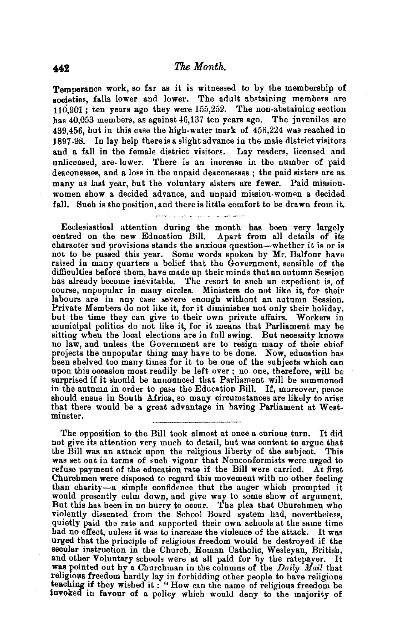Temperance work, so far as it is witnessed to by the membership of societies, falls lower and lower. The adult abstaining members are 110,901; ten years ago they were  $155.252$ . The non-abstaining section bas 40,053 members, as against 46,137 ten years ago. The juveniles are 439,456, but in this case the high-water mark of 456,224 was reached in 1897-98. In lay help thereisaslightadvance in the male district visitors and a fall in the female district visitors. Lay readers, licensed and unlicensed, are. lower. There is an increase in the number of paid deaconesses, and a loss in the unpaid deaconesses ; the paid sisters are as many as last year, but the voluntary sisters are fewer. Paid mission. women show a decided advance, and unpaid mission-women a decided fall. Such is the position, and there is little comfort to be drawn from it.

Ecclesiastical attention during the month has been very largely centred on the new Education Bill. Apart from all details of its character and provisions stands the anxious question-whether it is or is not to be passed this year. Some words spoken by Mr. Balfour have raised in many quarters a belief that the Government, sensible of the difficulties before them, have made up their minds that an autumn Session has already become inevitable. The resort to such an expedient is, of course, unpopular in many circles. Ministera do not like it, for their labours are in any case severe enough without an autumn Session. Private Members do not like it, for it diminishes not only their holiday, but the time they can give to their own private affairs. Workers in municipal politics do not like it, for it means that Parliament may be sitting when the local elections are in full swing. But necessity knows no law, and unless the Government are to resign many of their chief projects the unpopular thing may have to be done. Now, education has been shelved too many times for it to be one of the subjects which can been shelved too many times for it to be one of the subjects which can upon this occasion most readily be left over ; no one, therefore, will be surprised if it should be announced that Parliament will be summoned in the autumn in order to pass the Education Bill. If, moreover, peace should ensue in South Africa, so many circumstances are likely to arise that there would be a great advantage in having Parliament at Westminster.

The opposition to the Bill took almost at once a curious turn. It did not give its attention very much to detail, but was content to argue that the Bill was an attack upon the religious liberty of the subject. This was set out in terms of such vigour that Nonconformists were urged to refuse payment of the education rate if the Bill were carried. At first Churchmen were disposed to regard this movement with no other feeling than charity-a simple confidence that the anger which prompted it would presently calm down, and give way to some show of argument. But this has been in no hurry to occur. The plea that Churchmen who violently dissented from the School Board system had, nevertheless, quietly paid the rate and supported their own schools at the same time had no effect, unless it was to increase the violence of the attack. It was urged that the principle of religious freedom would be destroyed if the secular instruction in the Church, Roman Catholic, Wesleyan, British, and other Voluntary schools were at all paid for by the ratepayer. It was pointed out by a Churchman in the columns of the *Daily Mail* that religious freedom hardly lay in forbidding other people to have religious<br>teaching if they wished it : "How can the name of religious freedom be invoked in favour of a policy which would deny to the majority of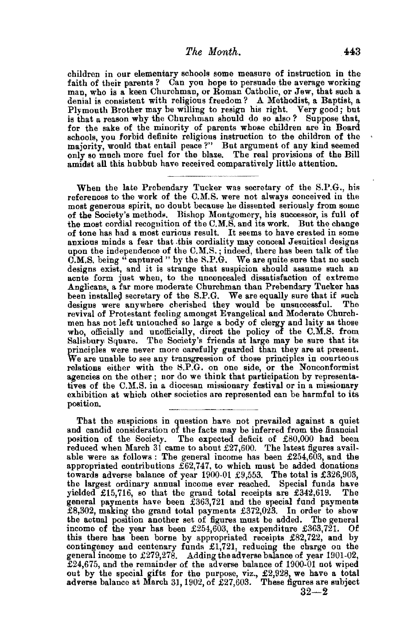children in our elementary schools some measure of instruction in the faith of their parents ? Can you hope to persuade the average working map, who is a keen Churchmap, or Roman Catholic, or Jew, that such a man, who is a keen Churchman, or Roman Catholic, or Jew, that such a denial is consistent with religious freedom? A Methodist, a Baptist, a Plymouth Brother may he willing to resign his right, Very good; but is that a reason why the Churchman should do so also *?* Suppose that, for the sake of the minority of parents whose children are in Board schools, you forbid definite religious instruction to the children of the majority, would that entail peace?" But argument of any kind seemed only so much more fuel for the blaze, The real provisions of the Bill amidst all this hubbub have received comparatively little attention.

When the late Prebendary Tucker was secretary of the S.P.G., his references to the work of the C.M.S. were not always conceived in the most generous spirit, no doubt because he dissented seriously from some most generous spirit, no doubt because he dissented seriously from some of the Society's methods. Bishop Montgomery, his successor, is full of the most cordial recognition of the C.M.S. and its work. But the change of tone has had a most curious result. It seems to have created in some anxious minds a fear that this cordiality may conceal Jesuitical designs upon the independence of the C.M.S.; indeed, there has been talk of the C.M.S. being "captured" by the S.P.G. We are quite sure that no such designs exist, and it is strange that suspicion should assume such an acnte form just when, to the unconcealed dissatisfaction of extreme Anglicans, a far more moderate Churchman than Prebendary Tucker has been installed secretary of the S.P.G. We are equally sure that if such designs were anywhere cherished they would be unsuccessful. The designs were anywhere cherished they would be unsuccessful. The revival of Protestant feeling amongst Evangelical and Moderate Churchmen has not left untouched so large a body of clergy and laity as those who, officially and unofficially, direct the policy of the C.M.S. from Salisbury. Square, The Society's friends at large may be sure that its principles were never more carefully guarded than they are at present. We are unable to see any transgression of those principles in courteous relations either with the 8.P.G. on one side, or the Nonconformist agencies on the other ; nor do we think that participation by representatives of the C.M.S. in a diocesan missionary festival or in a missionary exhibition at which other societies are represented can be harmful to its position.

That the suspicions in question have not prevailed against a quiet and candid consideration of the facts may be inferred from the financial position of the Society. The expected deficit of £80,000 bad been reduced when March 31 came to about  $£27,600$ . The latest figures available were as follows : The general income has been £254,603, and the appropriated contributions  $\tilde{E}62,747$ , to which must be added donations towards adverse balance of year 1900-01 £9,553. The total is £326,903, the largest ordinary annual income ever reached. Special funds have yielded £15,716, so that the grand total receipts are £342,619. The general payments have been £363,721 and the special fund payments £8,302, making the grand total payments £372,023. In order to show the actual position another set of figures must be added. The general income of the year has been  $£254,603$ , the expenditure £363,721. Of this there bas been borne by appropriated receipts £82,722, and by contingency and centenary funds £1,721, reducing the charge on the general income to £279,278, Adding the adverse balance of year 1901-02, £24,675, and the remainder of the adverse balance of 1900-01 not wiped out by the special gifts for the purpose, viz.,  $\pounds2,928$ , we have a total adverse balance at March 31, 1902, of £27,603. These figures are subject

 $32 - 2$